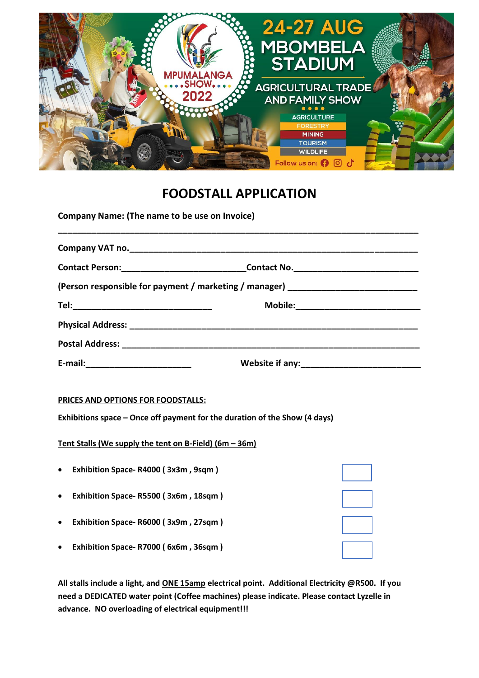

# **FOODSTALL APPLICATION**

**Company Name: (The name to be use on Invoice)**

|                                     | Contact Person:________________________________Contact No.______________________ |
|-------------------------------------|----------------------------------------------------------------------------------|
|                                     | (Person responsible for payment / marketing / manager) _________________________ |
|                                     |                                                                                  |
|                                     |                                                                                  |
|                                     |                                                                                  |
| E-mail:____________________________ |                                                                                  |

## **PRICES AND OPTIONS FOR FOODSTALLS:**

**Exhibitions space – Once off payment for the duration of the Show (4 days)**

**Tent Stalls (We supply the tent on B-Field) (6m – 36m)**

| $\bullet$ | Exhibition Space-R4000 (3x3m, 9sqm)  |  |
|-----------|--------------------------------------|--|
| $\bullet$ | Exhibition Space-R5500 (3x6m, 18sqm) |  |
| $\bullet$ | Exhibition Space-R6000 (3x9m, 27sqm) |  |
| $\bullet$ | Exhibition Space-R7000 (6x6m, 36sqm) |  |

**All stalls include a light, and ONE 15amp electrical point. Additional Electricity @R500. If you need a DEDICATED water point (Coffee machines) please indicate. Please contact Lyzelle in advance. NO overloading of electrical equipment!!!**